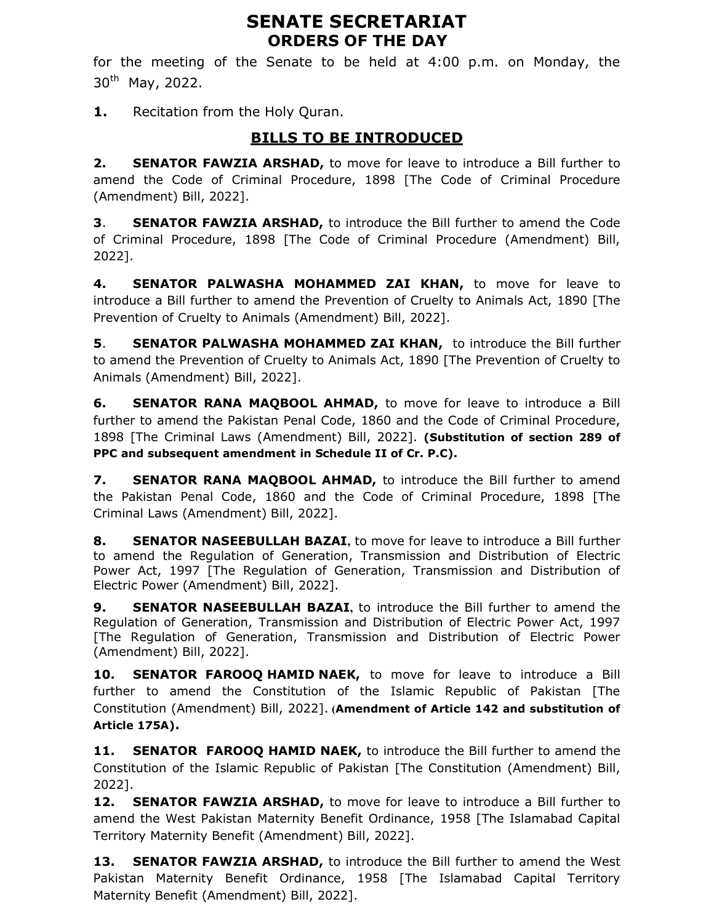# SENATE SECRETARIAT ORDERS OF THE DAY

for the meeting of the Senate to be held at 4:00 p.m. on Monday, the  $30^{th}$  May, 2022.

1. Recitation from the Holy Ouran.

# BILLS TO BE INTRODUCED

**2. SENATOR FAWZIA ARSHAD,** to move for leave to introduce a Bill further to amend the Code of Criminal Procedure, 1898 [The Code of Criminal Procedure (Amendment) Bill, 2022].

3. SENATOR FAWZIA ARSHAD, to introduce the Bill further to amend the Code of Criminal Procedure, 1898 [The Code of Criminal Procedure (Amendment) Bill, 2022].

4. SENATOR PALWASHA MOHAMMED ZAI KHAN, to move for leave to introduce a Bill further to amend the Prevention of Cruelty to Animals Act, 1890 [The Prevention of Cruelty to Animals (Amendment) Bill, 2022].

**5. SENATOR PALWASHA MOHAMMED ZAI KHAN, to introduce the Bill further** to amend the Prevention of Cruelty to Animals Act, 1890 [The Prevention of Cruelty to Animals (Amendment) Bill, 2022].

6. SENATOR RANA MAQBOOL AHMAD, to move for leave to introduce a Bill further to amend the Pakistan Penal Code, 1860 and the Code of Criminal Procedure, 1898 [The Criminal Laws (Amendment) Bill, 2022]. (Substitution of section 289 of PPC and subsequent amendment in Schedule II of Cr. P.C).

7. SENATOR RANA MAQBOOL AHMAD, to introduce the Bill further to amend the Pakistan Penal Code, 1860 and the Code of Criminal Procedure, 1898 [The Criminal Laws (Amendment) Bill, 2022].

8. SENATOR NASEEBULLAH BAZAI, to move for leave to introduce a Bill further to amend the Regulation of Generation, Transmission and Distribution of Electric Power Act, 1997 [The Regulation of Generation, Transmission and Distribution of Electric Power (Amendment) Bill, 2022].

9. SENATOR NASEEBULLAH BAZAI, to introduce the Bill further to amend the Regulation of Generation, Transmission and Distribution of Electric Power Act, 1997 [The Regulation of Generation, Transmission and Distribution of Electric Power (Amendment) Bill, 2022].

10. SENATOR FAROOO HAMID NAEK, to move for leave to introduce a Bill further to amend the Constitution of the Islamic Republic of Pakistan [The Constitution (Amendment) Bill, 2022]. (Amendment of Article 142 and substitution of Article 175A).

11. SENATOR FAROOO HAMID NAEK, to introduce the Bill further to amend the Constitution of the Islamic Republic of Pakistan [The Constitution (Amendment) Bill, 2022].

12. SENATOR FAWZIA ARSHAD, to move for leave to introduce a Bill further to amend the West Pakistan Maternity Benefit Ordinance, 1958 [The Islamabad Capital Territory Maternity Benefit (Amendment) Bill, 2022].

13. SENATOR FAWZIA ARSHAD, to introduce the Bill further to amend the West Pakistan Maternity Benefit Ordinance, 1958 [The Islamabad Capital Territory Maternity Benefit (Amendment) Bill, 2022].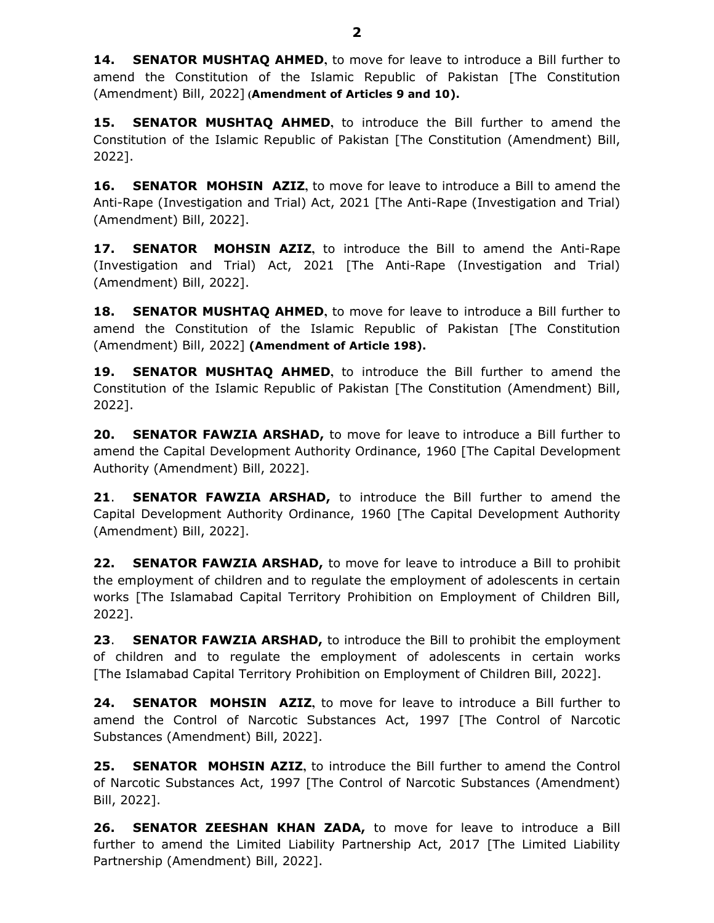14. SENATOR MUSHTAQ AHMED, to move for leave to introduce a Bill further to amend the Constitution of the Islamic Republic of Pakistan [The Constitution (Amendment) Bill, 2022] (Amendment of Articles 9 and 10).

**15. SENATOR MUSHTAQ AHMED,** to introduce the Bill further to amend the Constitution of the Islamic Republic of Pakistan [The Constitution (Amendment) Bill, 2022].

16. SENATOR MOHSIN AZIZ, to move for leave to introduce a Bill to amend the Anti-Rape (Investigation and Trial) Act, 2021 [The Anti-Rape (Investigation and Trial) (Amendment) Bill, 2022].

17. SENATOR MOHSIN AZIZ, to introduce the Bill to amend the Anti-Rape (Investigation and Trial) Act, 2021 [The Anti-Rape (Investigation and Trial) (Amendment) Bill, 2022].

**18. SENATOR MUSHTAQ AHMED,** to move for leave to introduce a Bill further to amend the Constitution of the Islamic Republic of Pakistan [The Constitution (Amendment) Bill, 2022] (Amendment of Article 198).

19. **SENATOR MUSHTAQ AHMED**, to introduce the Bill further to amend the Constitution of the Islamic Republic of Pakistan [The Constitution (Amendment) Bill, 2022].

20. SENATOR FAWZIA ARSHAD, to move for leave to introduce a Bill further to amend the Capital Development Authority Ordinance, 1960 [The Capital Development Authority (Amendment) Bill, 2022].

21. **SENATOR FAWZIA ARSHAD,** to introduce the Bill further to amend the Capital Development Authority Ordinance, 1960 [The Capital Development Authority (Amendment) Bill, 2022].

22. SENATOR FAWZIA ARSHAD, to move for leave to introduce a Bill to prohibit the employment of children and to regulate the employment of adolescents in certain works [The Islamabad Capital Territory Prohibition on Employment of Children Bill, 2022].

23. SENATOR FAWZIA ARSHAD, to introduce the Bill to prohibit the employment of children and to regulate the employment of adolescents in certain works [The Islamabad Capital Territory Prohibition on Employment of Children Bill, 2022].

24. **SENATOR MOHSIN AZIZ**, to move for leave to introduce a Bill further to amend the Control of Narcotic Substances Act, 1997 [The Control of Narcotic Substances (Amendment) Bill, 2022].

25. SENATOR MOHSIN AZIZ, to introduce the Bill further to amend the Control of Narcotic Substances Act, 1997 [The Control of Narcotic Substances (Amendment) Bill, 2022].

26. SENATOR ZEESHAN KHAN ZADA, to move for leave to introduce a Bill further to amend the Limited Liability Partnership Act, 2017 [The Limited Liability Partnership (Amendment) Bill, 2022].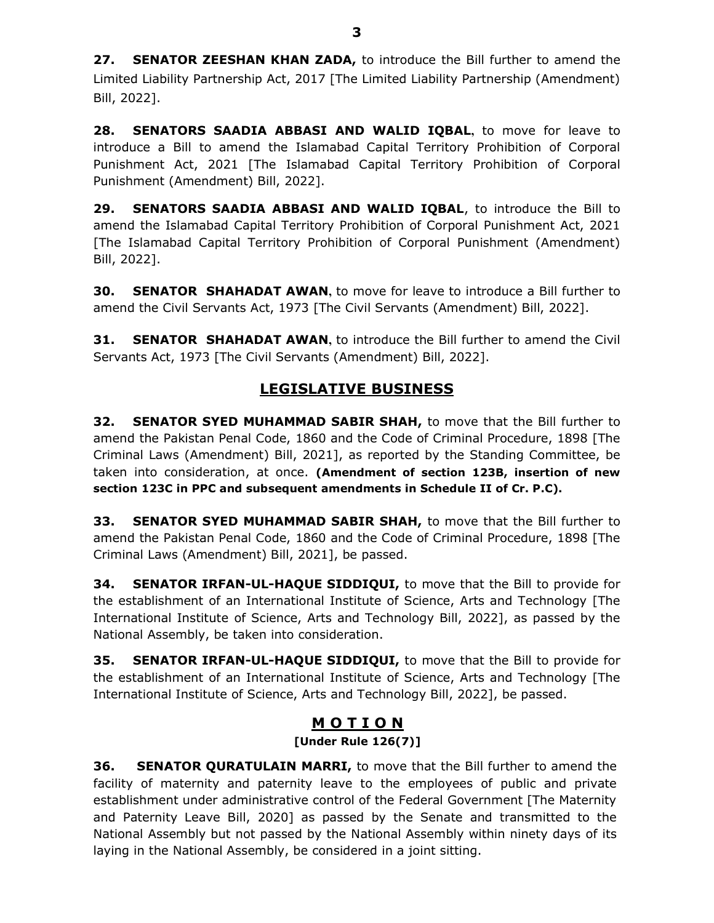27. SENATOR ZEESHAN KHAN ZADA, to introduce the Bill further to amend the Limited Liability Partnership Act, 2017 [The Limited Liability Partnership (Amendment) Bill, 2022].

28. SENATORS SAADIA ABBASI AND WALID IQBAL, to move for leave to introduce a Bill to amend the Islamabad Capital Territory Prohibition of Corporal Punishment Act, 2021 [The Islamabad Capital Territory Prohibition of Corporal Punishment (Amendment) Bill, 2022].

29. SENATORS SAADIA ABBASI AND WALID IQBAL, to introduce the Bill to amend the Islamabad Capital Territory Prohibition of Corporal Punishment Act, 2021 [The Islamabad Capital Territory Prohibition of Corporal Punishment (Amendment) Bill, 2022].

**30. SENATOR SHAHADAT AWAN, to move for leave to introduce a Bill further to** amend the Civil Servants Act, 1973 [The Civil Servants (Amendment) Bill, 2022].

**31. SENATOR SHAHADAT AWAN, to introduce the Bill further to amend the Civil** Servants Act, 1973 [The Civil Servants (Amendment) Bill, 2022].

# LEGISLATIVE BUSINESS

**32. SENATOR SYED MUHAMMAD SABIR SHAH,** to move that the Bill further to amend the Pakistan Penal Code, 1860 and the Code of Criminal Procedure, 1898 [The Criminal Laws (Amendment) Bill, 2021], as reported by the Standing Committee, be taken into consideration, at once. (Amendment of section 123B, insertion of new section 123C in PPC and subsequent amendments in Schedule II of Cr. P.C).

**33. SENATOR SYED MUHAMMAD SABIR SHAH,** to move that the Bill further to amend the Pakistan Penal Code, 1860 and the Code of Criminal Procedure, 1898 [The Criminal Laws (Amendment) Bill, 2021], be passed.

**34. SENATOR IRFAN-UL-HAQUE SIDDIQUI,** to move that the Bill to provide for the establishment of an International Institute of Science, Arts and Technology [The International Institute of Science, Arts and Technology Bill, 2022], as passed by the National Assembly, be taken into consideration.

**35. SENATOR IRFAN-UL-HAQUE SIDDIQUI,** to move that the Bill to provide for the establishment of an International Institute of Science, Arts and Technology [The International Institute of Science, Arts and Technology Bill, 2022], be passed.

## M O T I O N [Under Rule 126(7)]

**36.** SENATOR QURATULAIN MARRI, to move that the Bill further to amend the facility of maternity and paternity leave to the employees of public and private establishment under administrative control of the Federal Government [The Maternity and Paternity Leave Bill, 2020] as passed by the Senate and transmitted to the National Assembly but not passed by the National Assembly within ninety days of its laying in the National Assembly, be considered in a joint sitting.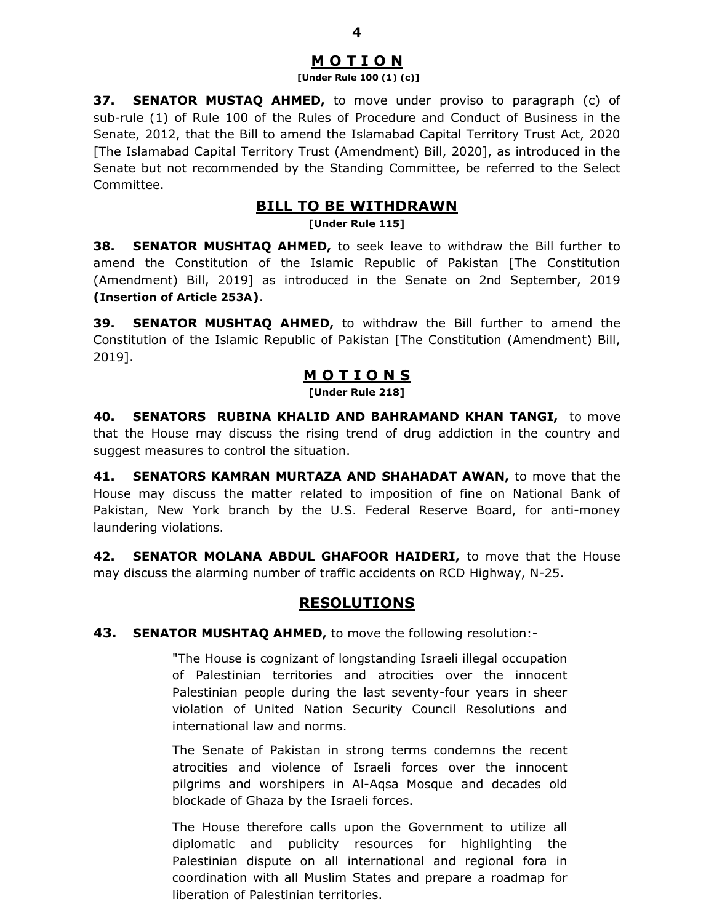### M O T I O N

#### [Under Rule 100 (1) (c)]

**37. SENATOR MUSTAO AHMED,** to move under proviso to paragraph (c) of sub-rule (1) of Rule 100 of the Rules of Procedure and Conduct of Business in the Senate, 2012, that the Bill to amend the Islamabad Capital Territory Trust Act, 2020 [The Islamabad Capital Territory Trust (Amendment) Bill, 2020], as introduced in the Senate but not recommended by the Standing Committee, be referred to the Select Committee.

## BILL TO BE WITHDRAWN

[Under Rule 115]

38. SENATOR MUSHTAQ AHMED, to seek leave to withdraw the Bill further to amend the Constitution of the Islamic Republic of Pakistan [The Constitution (Amendment) Bill, 2019] as introduced in the Senate on 2nd September, 2019 (Insertion of Article 253A).

**39. SENATOR MUSHTAQ AHMED,** to withdraw the Bill further to amend the Constitution of the Islamic Republic of Pakistan [The Constitution (Amendment) Bill, 2019].

## **MOTIONS**

[Under Rule 218]

40. SENATORS RUBINA KHALID AND BAHRAMAND KHAN TANGI, to move that the House may discuss the rising trend of drug addiction in the country and suggest measures to control the situation.

41. SENATORS KAMRAN MURTAZA AND SHAHADAT AWAN, to move that the House may discuss the matter related to imposition of fine on National Bank of Pakistan, New York branch by the U.S. Federal Reserve Board, for anti-money laundering violations.

42. SENATOR MOLANA ABDUL GHAFOOR HAIDERI, to move that the House may discuss the alarming number of traffic accidents on RCD Highway, N-25.

## RESOLUTIONS

43. SENATOR MUSHTAQ AHMED, to move the following resolution:-

"The House is cognizant of longstanding Israeli illegal occupation of Palestinian territories and atrocities over the innocent Palestinian people during the last seventy-four years in sheer violation of United Nation Security Council Resolutions and international law and norms.

The Senate of Pakistan in strong terms condemns the recent atrocities and violence of Israeli forces over the innocent pilgrims and worshipers in Al-Aqsa Mosque and decades old blockade of Ghaza by the Israeli forces.

The House therefore calls upon the Government to utilize all diplomatic and publicity resources for highlighting the Palestinian dispute on all international and regional fora in coordination with all Muslim States and prepare a roadmap for liberation of Palestinian territories.